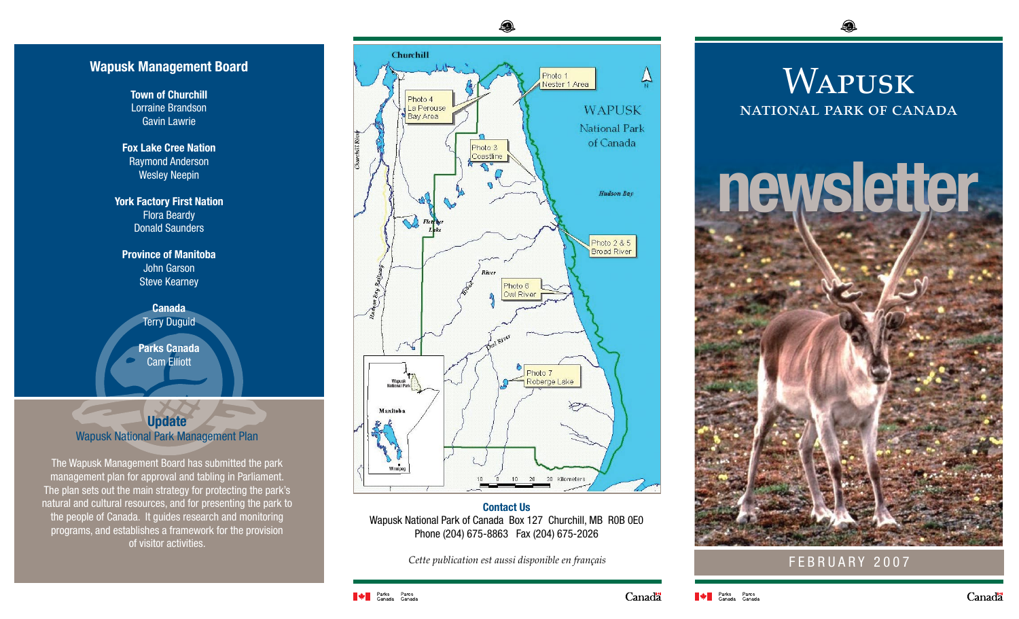## **Wapusk Management Board**

**Town of Churchill** Lorraine Brandson Gavin Lawrie

**Fox Lake Cree Nation** Raymond Anderson Wesley Neepin

**York Factory First Nation** Flora Beardy **Donald Saunders** 

**Province of Manitoba** John Garson Steve Kearney

> **Canada Terry Duguid**

**Parks Canada** Cam Elliott

## **Update** Wapusk National Park Management Plan

The Wapusk Management Board has submitted the park management plan for approval and tabling in Parliament. The plan sets out the main strategy for protecting the park's natural and cultural resources, and for presenting the park to the people of Canada. It guides research and monitoring programs, and establishes a framework for the provision of visitor activities.



**Contact Us** Wapusk National Park of Canada Box 127 Churchill, MB R0B 0E0 Phone (204) 675-8863 Fax (204) 675-2026

*Cette publication est aussi disponible en français*

Q.